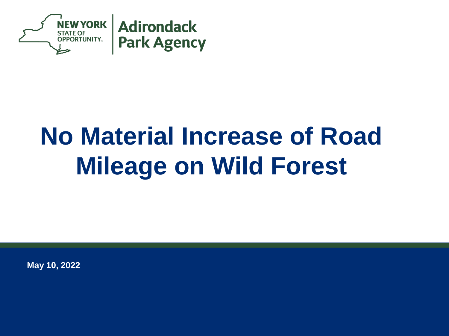

# **No Material Increase of Road Mileage on Wild Forest**

**May 10, 2022**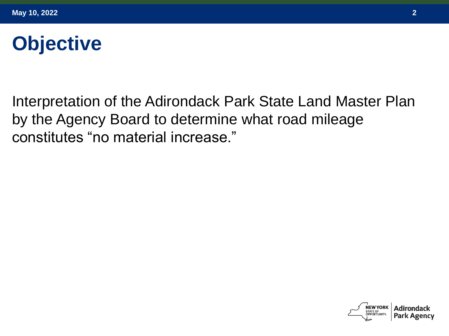# **Objective**

Interpretation of the Adirondack Park State Land Master Plan by the Agency Board to determine what road mileage constitutes "no material increase."



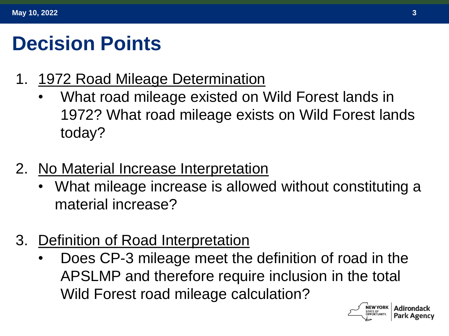# **Decision Points**

- 1. 1972 Road Mileage Determination
	- What road mileage existed on Wild Forest lands in 1972? What road mileage exists on Wild Forest lands today?
- 2. No Material Increase Interpretation
	- What mileage increase is allowed without constituting a material increase?
- 3. Definition of Road Interpretation
	- Does CP-3 mileage meet the definition of road in the APSLMP and therefore require inclusion in the total Wild Forest road mileage calculation?

**NEW YORK**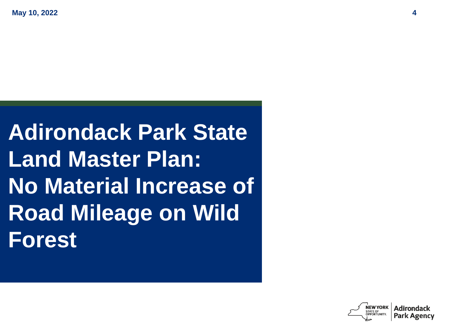# **Adirondack Park State Land Master Plan: No Material Increase of Road Mileage on Wild Forest**

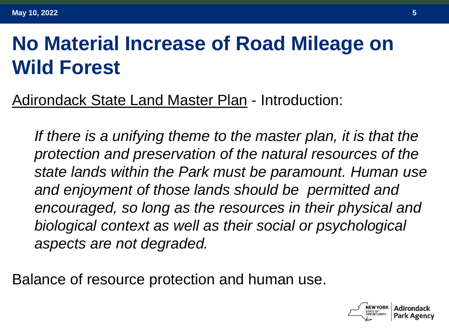# **No Material Increase of Road Mileage on Wild Forest**

Adirondack State Land Master Plan - Introduction:

*If there is a unifying theme to the master plan, it is that the protection and preservation of the natural resources of the state lands within the Park must be paramount. Human use and enjoyment of those lands should be permitted and encouraged, so long as the resources in their physical and biological context as well as their social or psychological aspects are not degraded.*

Balance of resource protection and human use.

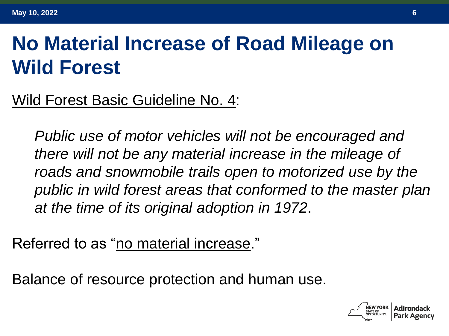# **No Material Increase of Road Mileage on Wild Forest**

Wild Forest Basic Guideline No. 4:

*Public use of motor vehicles will not be encouraged and there will not be any material increase in the mileage of roads and snowmobile trails open to motorized use by the public in wild forest areas that conformed to the master plan at the time of its original adoption in 1972*.

Referred to as "no material increase."

Balance of resource protection and human use.

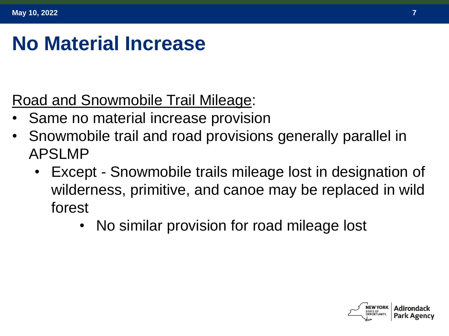### **No Material Increase**

Road and Snowmobile Trail Mileage:

- Same no material increase provision
- Snowmobile trail and road provisions generally parallel in APSLMP
	- Except Snowmobile trails mileage lost in designation of wilderness, primitive, and canoe may be replaced in wild forest
		- No similar provision for road mileage lost

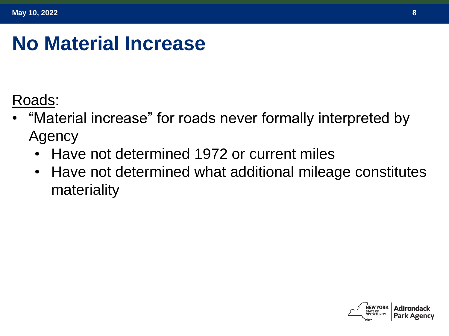### **No Material Increase**

Roads:

- "Material increase" for roads never formally interpreted by Agency
	- Have not determined 1972 or current miles
	- Have not determined what additional mileage constitutes materiality

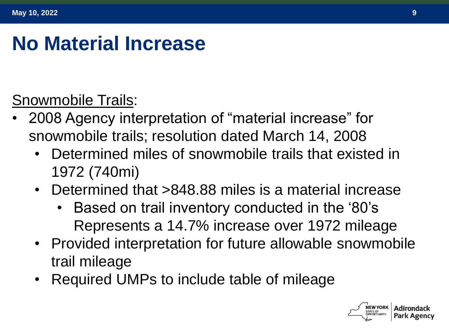## **No Material Increase**

#### Snowmobile Trails:

- 2008 Agency interpretation of "material increase" for snowmobile trails; resolution dated March 14, 2008
	- Determined miles of snowmobile trails that existed in 1972 (740mi)
	- Determined that >848.88 miles is a material increase
		- Based on trail inventory conducted in the '80's Represents a 14.7% increase over 1972 mileage
	- Provided interpretation for future allowable snowmobile trail mileage
	- Required UMPs to include table of mileage

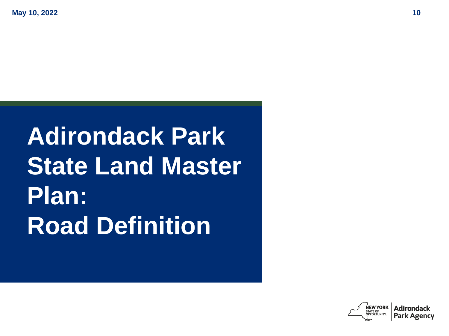# **Adirondack Park State Land Master Plan: Road Definition**

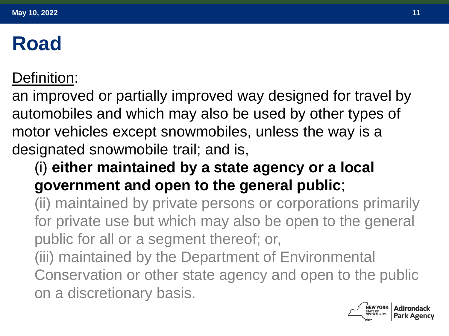#### Definition:

an improved or partially improved way designed for travel by automobiles and which may also be used by other types of motor vehicles except snowmobiles, unless the way is a designated snowmobile trail; and is,

#### (i) **either maintained by a state agency or a local government and open to the general public**;

(ii) maintained by private persons or corporations primarily for private use but which may also be open to the general public for all or a segment thereof; or,

(iii) maintained by the Department of Environmental Conservation or other state agency and open to the public on a discretionary basis.

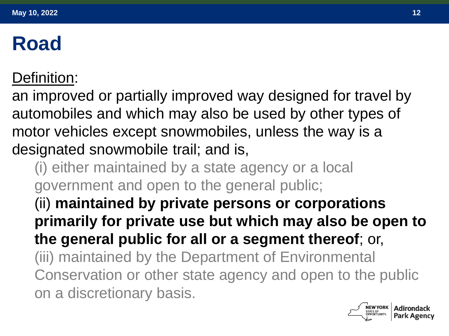#### Definition:

an improved or partially improved way designed for travel by automobiles and which may also be used by other types of motor vehicles except snowmobiles, unless the way is a designated snowmobile trail; and is,

- (i) either maintained by a state agency or a local government and open to the general public;
- (ii) **maintained by private persons or corporations primarily for private use but which may also be open to the general public for all or a segment thereof**; or, (iii) maintained by the Department of Environmental Conservation or other state agency and open to the public on a discretionary basis.

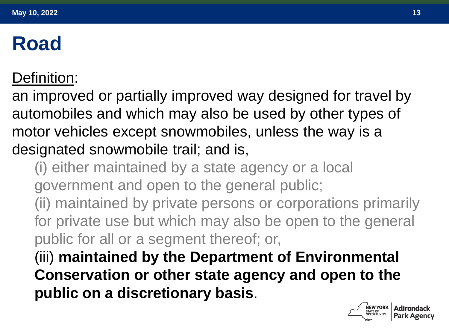#### Definition:

an improved or partially improved way designed for travel by automobiles and which may also be used by other types of motor vehicles except snowmobiles, unless the way is a designated snowmobile trail; and is,

- (i) either maintained by a state agency or a local government and open to the general public;
- (ii) maintained by private persons or corporations primarily for private use but which may also be open to the general public for all or a segment thereof; or,
- (iii) **maintained by the Department of Environmental Conservation or other state agency and open to the public on a discretionary basis**.

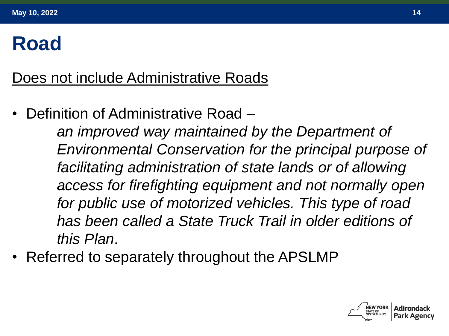Does not include Administrative Roads

• Definition of Administrative Road –

*an improved way maintained by the Department of Environmental Conservation for the principal purpose of facilitating administration of state lands or of allowing access for firefighting equipment and not normally open for public use of motorized vehicles. This type of road has been called a State Truck Trail in older editions of this Plan*.

• Referred to separately throughout the APSLMP

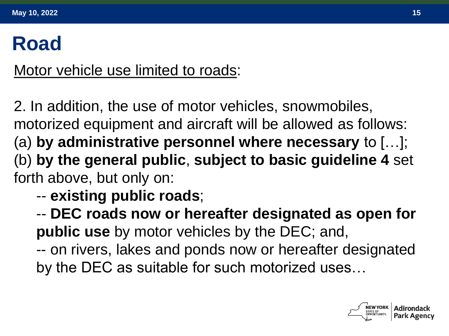Motor vehicle use limited to roads:

2. In addition, the use of motor vehicles, snowmobiles, motorized equipment and aircraft will be allowed as follows: (a) **by administrative personnel where necessary** to […]; (b) **by the general public**, **subject to basic guideline 4** set forth above, but only on:

-- **existing public roads**;

-- **DEC roads now or hereafter designated as open for public use** by motor vehicles by the DEC; and,

-- on rivers, lakes and ponds now or hereafter designated by the DEC as suitable for such motorized uses…

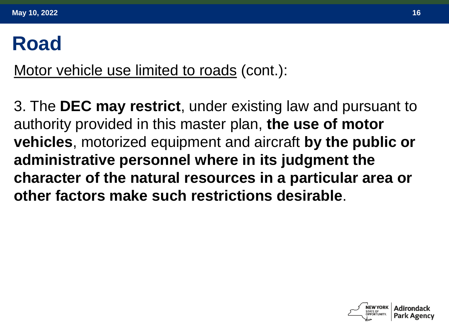Motor vehicle use limited to roads (cont.):

3. The **DEC may restrict**, under existing law and pursuant to authority provided in this master plan, **the use of motor vehicles**, motorized equipment and aircraft **by the public or administrative personnel where in its judgment the character of the natural resources in a particular area or other factors make such restrictions desirable**.

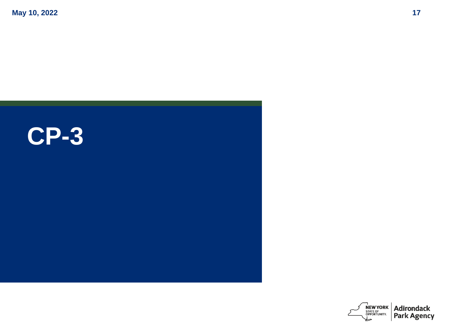**May 10, 2022 17**



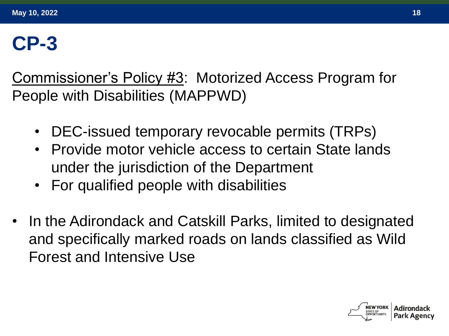## **CP-3**

Commissioner's Policy #3: Motorized Access Program for People with Disabilities (MAPPWD)

- DEC-issued temporary revocable permits (TRPs)
- Provide motor vehicle access to certain State lands under the jurisdiction of the Department
- For qualified people with disabilities
- In the Adirondack and Catskill Parks, limited to designated and specifically marked roads on lands classified as Wild Forest and Intensive Use

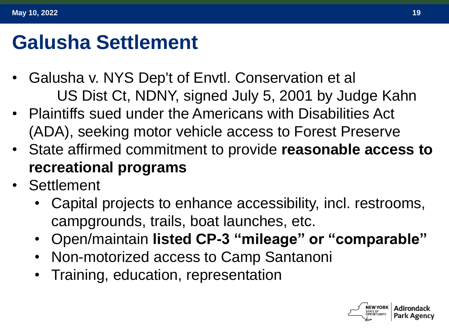### **Galusha Settlement**

- Galusha v. NYS Dep't of Envtl. Conservation et al US Dist Ct, NDNY, signed July 5, 2001 by Judge Kahn
- Plaintiffs sued under the Americans with Disabilities Act (ADA), seeking motor vehicle access to Forest Preserve
- State affirmed commitment to provide **reasonable access to recreational programs**
- **Settlement** 
	- Capital projects to enhance accessibility, incl. restrooms, campgrounds, trails, boat launches, etc.
	- Open/maintain **listed CP-3 "mileage" or "comparable"**
	- Non-motorized access to Camp Santanoni
	- Training, education, representation

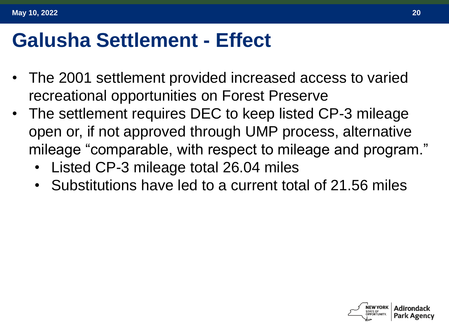#### **Galusha Settlement - Effect**

- The 2001 settlement provided increased access to varied recreational opportunities on Forest Preserve
- The settlement requires DEC to keep listed CP-3 mileage open or, if not approved through UMP process, alternative mileage "comparable, with respect to mileage and program."
	- Listed CP-3 mileage total 26.04 miles
	- Substitutions have led to a current total of 21.56 miles

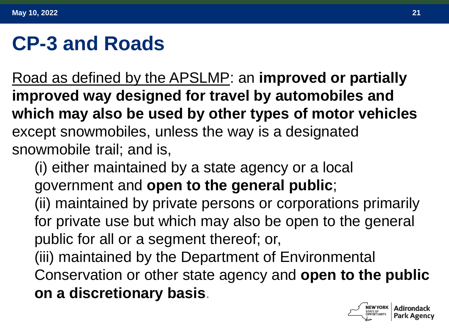### **CP-3 and Roads**

Road as defined by the APSLMP: an **improved or partially improved way designed for travel by automobiles and which may also be used by other types of motor vehicles** except snowmobiles, unless the way is a designated snowmobile trail; and is,

(i) either maintained by a state agency or a local government and **open to the general public**;

(ii) maintained by private persons or corporations primarily for private use but which may also be open to the general public for all or a segment thereof; or,

(iii) maintained by the Department of Environmental Conservation or other state agency and **open to the public on a discretionary basis**.

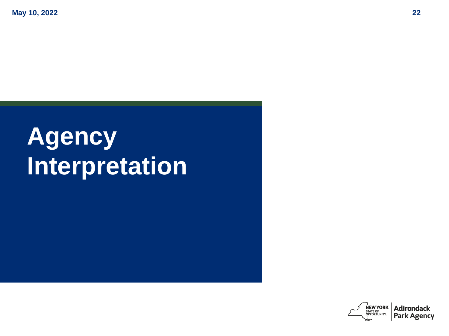**May 10, 2022 22**

# **Agency Interpretation**

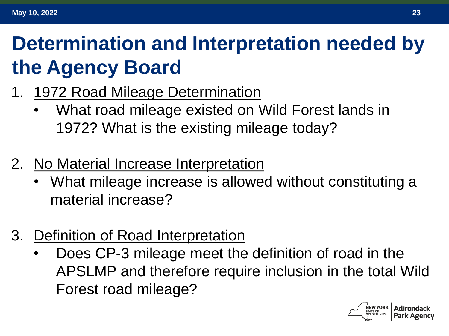# **Determination and Interpretation needed by the Agency Board**

- 1. 1972 Road Mileage Determination
	- What road mileage existed on Wild Forest lands in 1972? What is the existing mileage today?
- 2. No Material Increase Interpretation
	- What mileage increase is allowed without constituting a material increase?
- 3. Definition of Road Interpretation
	- Does CP-3 mileage meet the definition of road in the APSLMP and therefore require inclusion in the total Wild Forest road mileage?

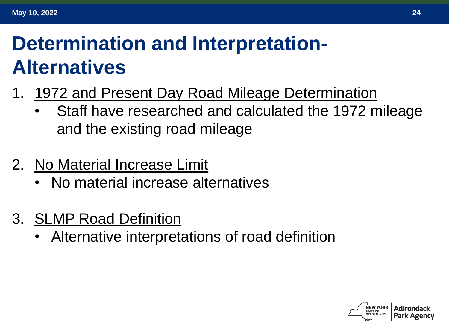# **Determination and Interpretation-Alternatives**

- 1. 1972 and Present Day Road Mileage Determination
	- Staff have researched and calculated the 1972 mileage and the existing road mileage
- 2. No Material Increase Limit
	- No material increase alternatives
- 3. SLMP Road Definition
	- Alternative interpretations of road definition

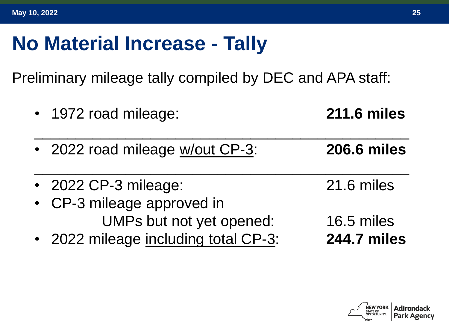## **No Material Increase - Tally**

Preliminary mileage tally compiled by DEC and APA staff:

| • 1972 road mileage:                 | <b>211.6 miles</b> |
|--------------------------------------|--------------------|
| • 2022 road mileage w/out CP-3:      | <b>206.6 miles</b> |
| • 2022 CP-3 mileage:                 | 21.6 miles         |
| • CP-3 mileage approved in           |                    |
| UMPs but not yet opened:             | 16.5 miles         |
| • 2022 mileage including total CP-3: | <b>244.7 miles</b> |

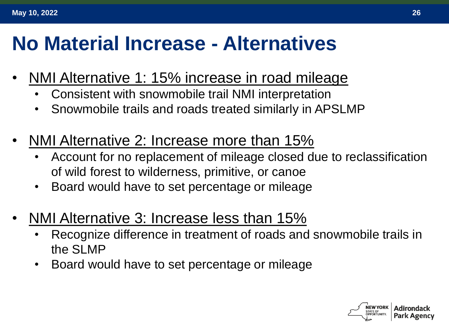## **No Material Increase - Alternatives**

- NMI Alternative 1: 15% increase in road mileage
	- Consistent with snowmobile trail NMI interpretation
	- Snowmobile trails and roads treated similarly in APSLMP
- NMI Alternative 2: Increase more than 15%
	- Account for no replacement of mileage closed due to reclassification of wild forest to wilderness, primitive, or canoe
	- Board would have to set percentage or mileage
- NMI Alternative 3: Increase less than 15%
	- Recognize difference in treatment of roads and snowmobile trails in the SLMP
	- Board would have to set percentage or mileage

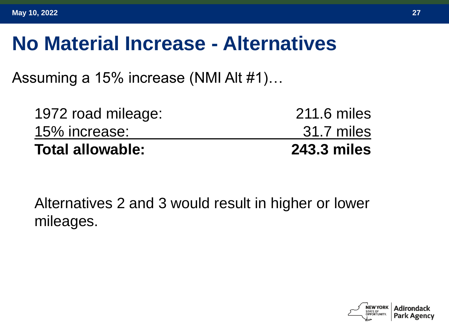#### **No Material Increase - Alternatives**

Assuming a 15% increase (NMI Alt #1)…

| <b>Total allowable:</b> | <b>243.3 miles</b> |
|-------------------------|--------------------|
| 15% increase:           | 31.7 miles         |
| 1972 road mileage:      | 211.6 miles        |

Alternatives 2 and 3 would result in higher or lower mileages.

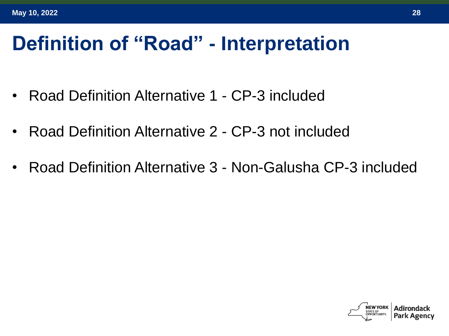## **Definition of "Road" - Interpretation**

- Road Definition Alternative 1 CP-3 included
- Road Definition Alternative 2 CP-3 not included
- Road Definition Alternative 3 Non-Galusha CP-3 included

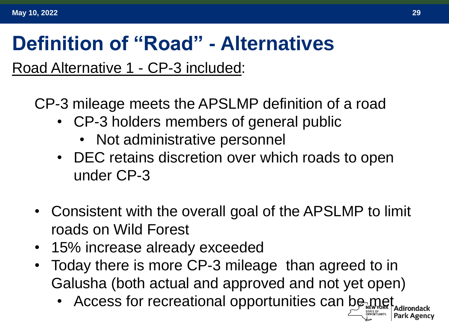#### **Definition of "Road" - Alternatives**

Road Alternative 1 - CP-3 included:

CP-3 mileage meets the APSLMP definition of a road

- CP-3 holders members of general public
	- Not administrative personnel
- DEC retains discretion over which roads to open under CP-3
- Consistent with the overall goal of the APSLMP to limit roads on Wild Forest
- 15% increase already exceeded
- Today there is more CP-3 mileage than agreed to in Galusha (both actual and approved and not yet open)
	- Access for recreational opportunities can be met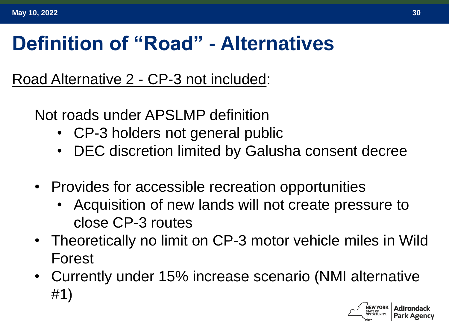## **Definition of "Road" - Alternatives**

Road Alternative 2 - CP-3 not included:

Not roads under APSLMP definition

- CP-3 holders not general public
- DEC discretion limited by Galusha consent decree
- Provides for accessible recreation opportunities
	- Acquisition of new lands will not create pressure to close CP-3 routes
- Theoretically no limit on CP-3 motor vehicle miles in Wild Forest
- Currently under 15% increase scenario (NMI alternative #1)

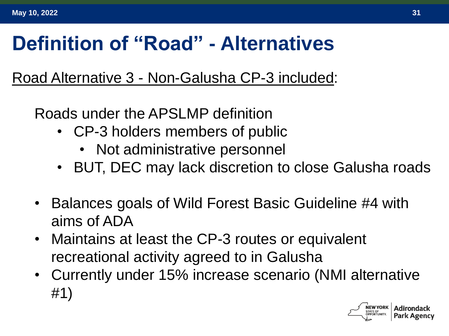# **Definition of "Road" - Alternatives**

#### Road Alternative 3 - Non-Galusha CP-3 included:

Roads under the APSLMP definition

- CP-3 holders members of public
	- Not administrative personnel
- BUT, DEC may lack discretion to close Galusha roads
- Balances goals of Wild Forest Basic Guideline #4 with aims of ADA
- Maintains at least the CP-3 routes or equivalent recreational activity agreed to in Galusha
- Currently under 15% increase scenario (NMI alternative #1)

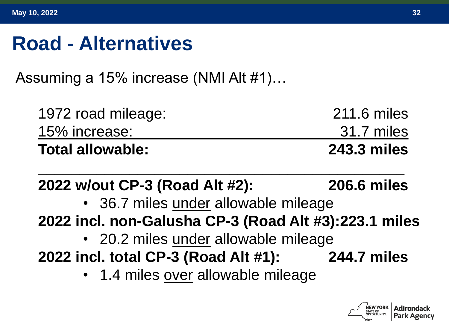#### **Road - Alternatives**

Assuming a 15% increase (NMI Alt #1)…

| <b>Total allowable:</b> | <b>243.3 miles</b> |
|-------------------------|--------------------|
| 15% increase:           | 31.7 miles         |
| 1972 road mileage:      | 211.6 miles        |

#### **2022 w/out CP-3 (Road Alt #2): 206.6 miles**

 $\overline{\phantom{a}}$  , and the contract of the contract of the contract of the contract of the contract of the contract of the contract of the contract of the contract of the contract of the contract of the contract of the contrac

- 36.7 miles under allowable mileage
- **2022 incl. non-Galusha CP-3 (Road Alt #3):223.1 miles**
	- 20.2 miles under allowable mileage
- **2022 incl. total CP-3 (Road Alt #1): 244.7 miles**
	- 1.4 miles over allowable mileage

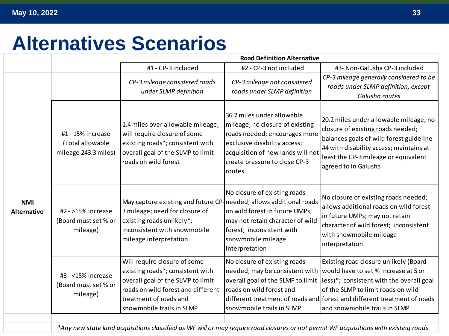## **Alternatives Scenarios**

|                                  |                                                                                                                                        | <b>Road Definition Alternative</b>                                                                                                                                                                 |                                                                                                                                                                                                                |                                                                                                                                                                                                                                                                              |  |
|----------------------------------|----------------------------------------------------------------------------------------------------------------------------------------|----------------------------------------------------------------------------------------------------------------------------------------------------------------------------------------------------|----------------------------------------------------------------------------------------------------------------------------------------------------------------------------------------------------------------|------------------------------------------------------------------------------------------------------------------------------------------------------------------------------------------------------------------------------------------------------------------------------|--|
|                                  |                                                                                                                                        | #1 - CP-3 included                                                                                                                                                                                 | #2 - CP-3 not included                                                                                                                                                                                         | #3- Non-Galusha CP-3 included                                                                                                                                                                                                                                                |  |
|                                  |                                                                                                                                        | CP-3 mileage considered roads<br>under SLMP definition                                                                                                                                             | CP-3 mileage not considered<br>roads under SLMP definition                                                                                                                                                     | CP-3 mileage generally considered to be<br>roads under SLMP definition, except<br>Galusha routes                                                                                                                                                                             |  |
| <b>NMI</b><br><b>Alternative</b> | #1 - 15% increase<br>(Total allowable<br>mileage 243.3 miles)                                                                          | 1.4 miles over allowable mileage;<br>will require closure of some<br>existing roads*; consistent with<br>overall goal of the SLMP to limit<br>roads on wild forest                                 | 36.7 miles under allowable<br>mileage; no closure of existing<br>roads needed; encourages more<br>exclusive disability access;<br>acquisition of new lands will not<br>create pressure to close CP-3<br>routes | 20.2 miles under allowable mileage; no<br>closure of existing roads needed;<br>balances goals of wild forest guideline<br>#4 with disability access; maintains at<br>least the CP-3 mileage or equivalent<br>agreed to in Galusha                                            |  |
|                                  | #2 - >15% increase<br>(Board must set % or<br>mileage)                                                                                 | May capture existing and future CP-needed; allows additional roads<br>3 mileage; need for closure of<br>existing roads unlikely*;<br>inconsistent with snowmobile<br>mileage interpretation        | No closure of existing roads<br>on wild forest in future UMPs;<br>may not retain character of wild<br>forest; inconsistent with<br>snowmobile mileage<br>interpretation                                        | No closure of existing roads needed;<br>allows additional roads on wild forest<br>in future UMPs; may not retain<br>character of wild forest; inconsistent<br>with snowmobile mileage<br>interpretation                                                                      |  |
|                                  | #3 - <15% increase<br>(Board must set % or<br>mileage)                                                                                 | Will require closure of some<br>existing roads*; consistent with<br>overall goal of the SLMP to limit<br>roads on wild forest and different<br>treatment of roads and<br>snowmobile trails in SLMP | No closure of existing roads<br>needed; may be consistent with<br>overall goal of the SLMP to limit<br>roads on wild forest and<br>snowmobile trails in SLMP                                                   | Existing road closure unlikely (Board<br>would have to set % increase at 5 or<br>less)*; consistent with the overall goal<br>of the SLMP to limit roads on wild<br>different treatment of roads and forest and different treatment of roads<br>and snowmobile trails in SLMP |  |
|                                  | *Any new state land acquisitions classified as WF will or may require road closures or not permit WF acquisitions with existing roads. |                                                                                                                                                                                                    |                                                                                                                                                                                                                |                                                                                                                                                                                                                                                                              |  |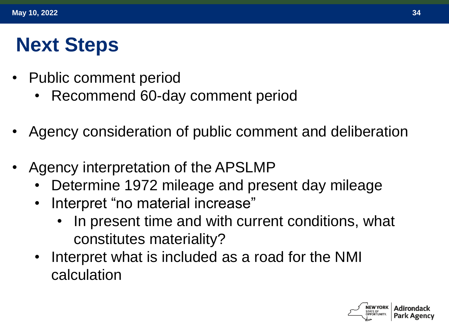# **Next Steps**

- Public comment period
	- Recommend 60-day comment period
- Agency consideration of public comment and deliberation
- Agency interpretation of the APSLMP
	- Determine 1972 mileage and present day mileage
	- Interpret "no material increase"
		- In present time and with current conditions, what constitutes materiality?
	- Interpret what is included as a road for the NMI calculation

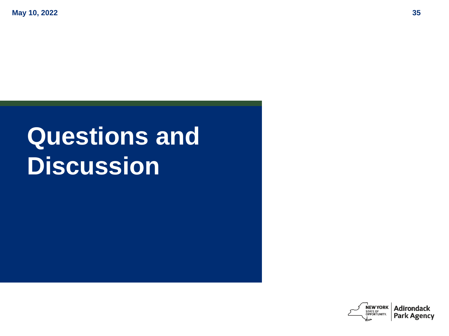# **Questions and Discussion**